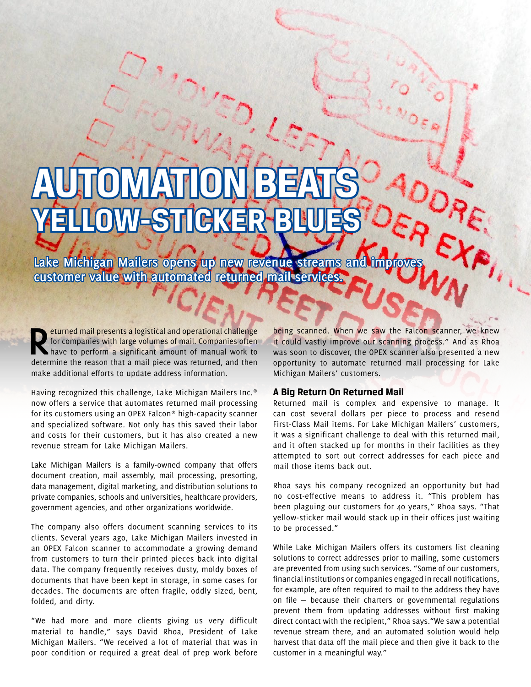## **AUTOMATIONBEATS** WESTIC<sup>K</sup>

Lake Michigan Mailers opens up new revenue streams and improv **customer value with automated returned mail services.**

**Returned mail presents a logistical and operational challenge**<br>for companies with large volumes of mail. Companies often<br>have to perform a significant amount of manual work to<br>determine the reason that a mail piece was re for companies with large volumes of mail. Companies often determine the reason that a mail piece was returned, and then make additional efforts to update address information.

Having recognized this challenge, Lake Michigan Mailers Inc.® now offers a service that automates returned mail processing for its customers using an OPEX Falcon® high-capacity scanner and specialized software. Not only has this saved their labor and costs for their customers, but it has also created a new revenue stream for Lake Michigan Mailers.

Lake Michigan Mailers is a family-owned company that offers document creation, mail assembly, mail processing, presorting, data management, digital marketing, and distribution solutions to private companies, schools and universities, healthcare providers, government agencies, and other organizations worldwide.

The company also offers document scanning services to its clients. Several years ago, Lake Michigan Mailers invested in an OPEX Falcon scanner to accommodate a growing demand from customers to turn their printed pieces back into digital data. The company frequently receives dusty, moldy boxes of documents that have been kept in storage, in some cases for decades. The documents are often fragile, oddly sized, bent, folded, and dirty.

"We had more and more clients giving us very difficult material to handle," says David Rhoa, President of Lake Michigan Mailers. "We received a lot of material that was in poor condition or required a great deal of prep work before

being scanned. When we saw the Falcon scanner, we knew it could vastly improve our scanning process." And as Rhoa was soon to discover, the OPEX scanner also presented a new opportunity to automate returned mail processing for Lake Michigan Mailers' customers.

## **A Big Return On Returned Mail**

Returned mail is complex and expensive to manage. It can cost several dollars per piece to process and resend First-Class Mail items. For Lake Michigan Mailers' customers, it was a significant challenge to deal with this returned mail, and it often stacked up for months in their facilities as they attempted to sort out correct addresses for each piece and mail those items back out.

Rhoa says his company recognized an opportunity but had no cost-effective means to address it. "This problem has been plaguing our customers for 40 years," Rhoa says. "That yellow-sticker mail would stack up in their offices just waiting to be processed."

While Lake Michigan Mailers offers its customers list cleaning solutions to correct addresses prior to mailing, some customers are prevented from using such services. "Some of our customers, financial institutions or companies engaged in recall notifications, for example, are often required to mail to the address they have on file — because their charters or governmental regulations prevent them from updating addresses without first making direct contact with the recipient," Rhoa says."We saw a potential revenue stream there, and an automated solution would help harvest that data off the mail piece and then give it back to the customer in a meaningful way."